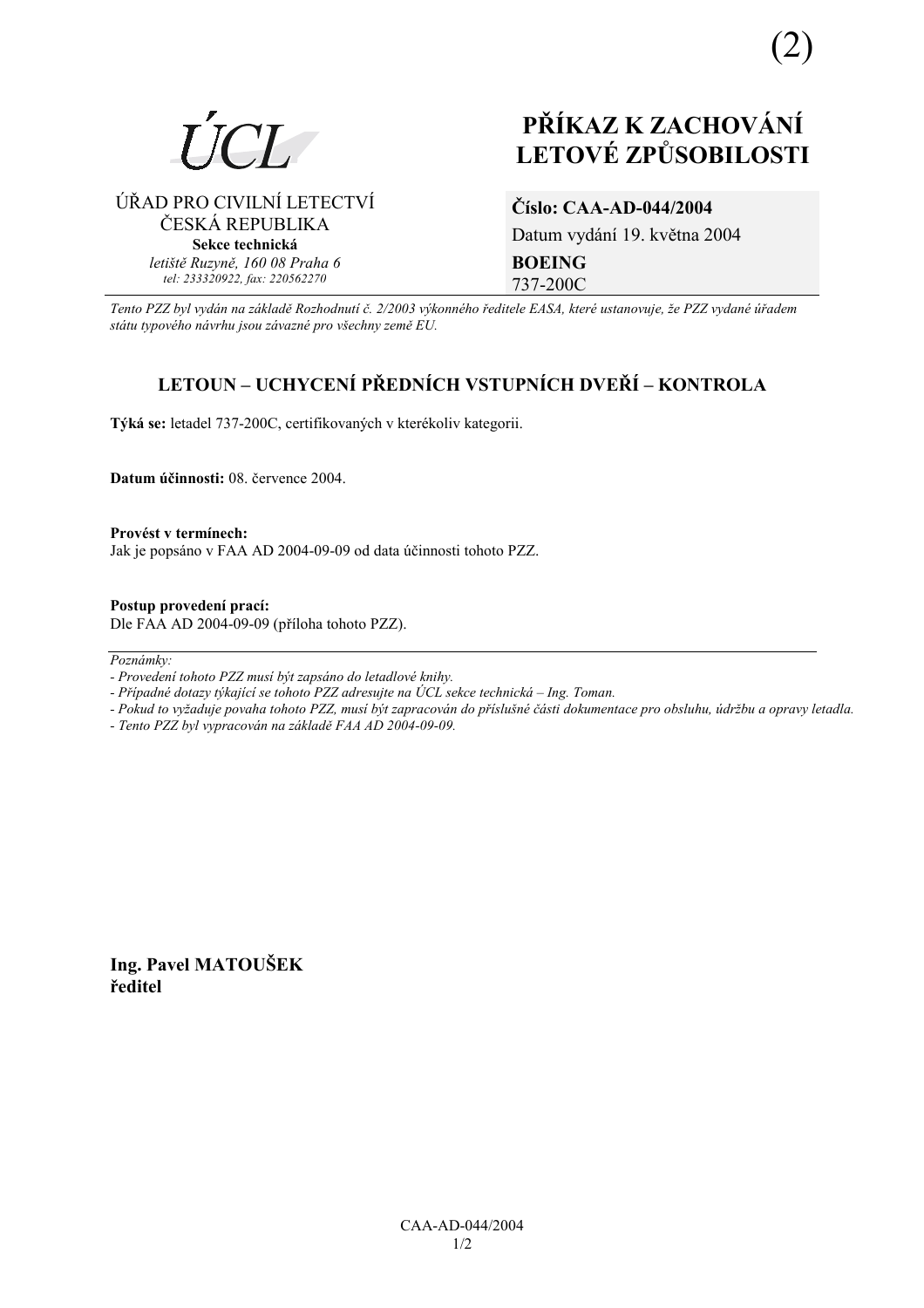

## **PŘÍKAZ K ZACHOVÁNÍ LETOV… ZPŮSOBILOSTI**

ÚŘAD PRO CIVILNÍ LETECTVÍ ČESKÁ REPUBLIKA **Sekce technická** *letiötě Ruzyně, 160 08 Praha 6 tel: 233320922, fax: 220562270*

# **ČÌslo: CAA-AD-044/2004**

Datum vydání 19. května 2004 **BOEING**  737-200C

*Tento PZZ byl vyd·n na z·kladě RozhodnutÌ č. 2/2003 v˝konnÈho ředitele EASA, kterÈ ustanovuje, ûe PZZ vydanÈ ˙řadem st·tu typovÈho n·vrhu jsou z·vaznÈ pro vöechny země EU.*

### **LETOUN – UCHYCENÍ PŘEDNÍCH VSTUPNÍCH DVEŘÍ – KONTROLA**

Týká se: letadel 737-200C, certifikovaných v kterékoliv kategorii.

**Datum ˙činnosti:** 08. července 2004.

**ProvÈst v termÌnech:**  Jak je popsáno v FAA AD 2004-09-09 od data účinnosti tohoto PZZ.

**Postup provedenÌ pracÌ:**  Dle FAA AD 2004-09-09 (příloha tohoto PZZ).

Poznámky:

*- Pokud to vyûaduje povaha tohoto PZZ, musÌ b˝t zapracov·n do přÌsluönÈ č·sti dokumentace pro obsluhu, ˙drûbu a opravy letadla.* 

*- Tento PZZ byl vypracov·n na z·kladě FAA AD 2004-09-09.* 

**Ing. Pavel MATOUäEK ředitel** 

*<sup>-</sup> ProvedenÌ tohoto PZZ musÌ b˝t zaps·no do letadlovÈ knihy.* 

*<sup>-</sup> Případné dotazy týkající se tohoto PZZ adresujte na ÚCL sekce technická – Ing. Toman.*